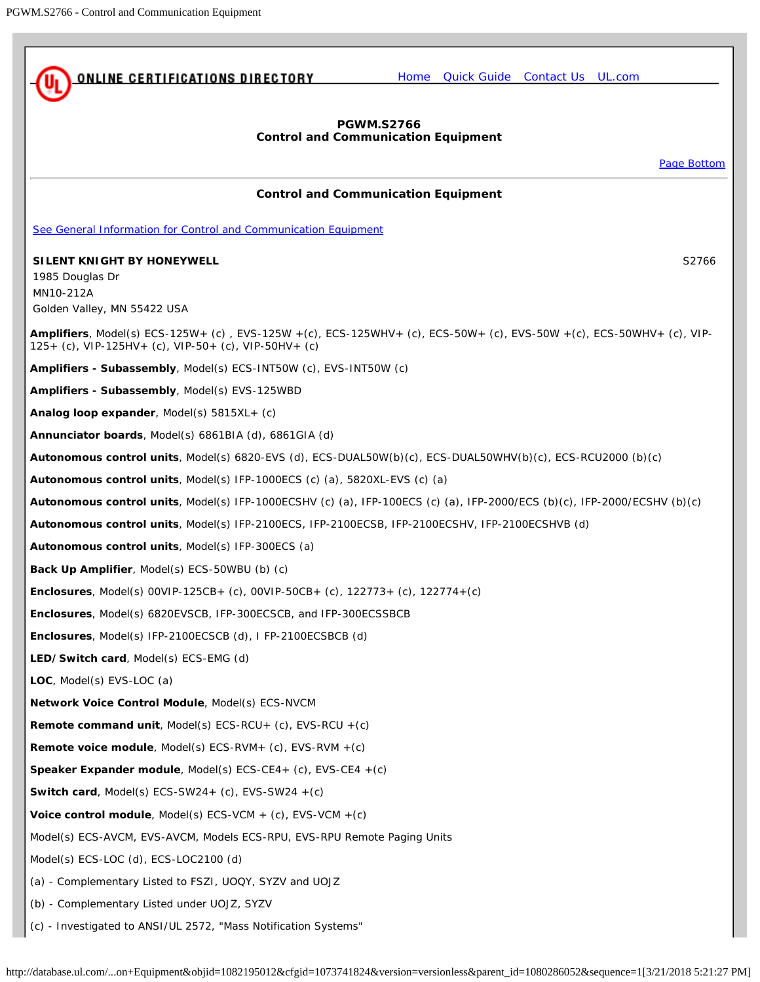<span id="page-0-0"></span>